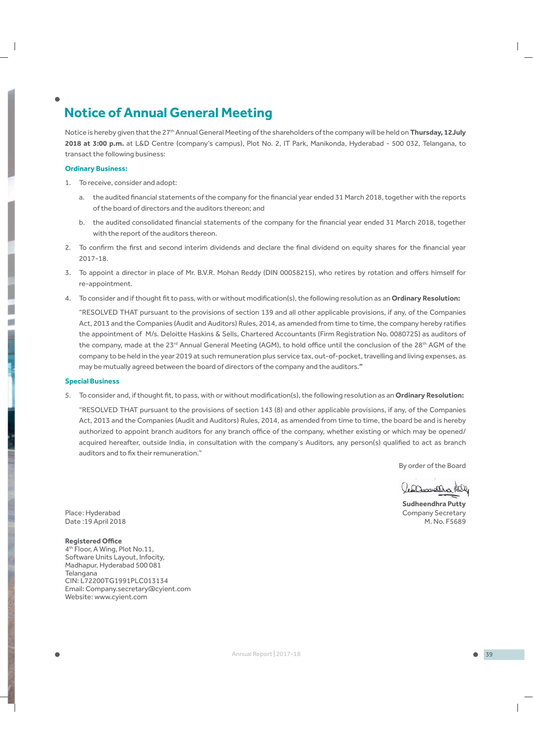# **Notice of Annual General Meeting**

Notice is hereby given that the 27<sup>th</sup> Annual General Meeting of the shareholders of the company will be held on Thursday, 12July **2018 at 3:00 p.m.** at L&D Centre (company's campus), Plot No. 2, IT Park, Manikonda, Hyderabad - 500 032, Telangana, to transact the following business:

### **Ordinary Business:**

- 1. To receive, consider and adopt:
	- a. the audited financial statements of the company for the financial year ended 31 March 2018, together with the reports of the board of directors and the auditors thereon; and
	- b. the audited consolidated financial statements of the company for the financial year ended 31 March 2018, together with the report of the auditors thereon.
- 2. To confirm the first and second interim dividends and declare the final dividend on equity shares for the financial year 2017-18.
- 3. To appoint a director in place of Mr. B.V.R. Mohan Reddy (DIN 00058215), who retires by rotation and offers himself for re-appointment.
- 4. To consider and if thought fit to pass, with or without modification(s), the following resolution as an **Ordinary Resolution:**

 "RESOLVED THAT pursuant to the provisions of section 139 and all other applicable provisions, if any, of the Companies Act, 2013 and the Companies (Audit and Auditors) Rules, 2014, as amended from time to time, the company hereby ratifies the appointment of M/s. Deloitte Haskins & Sells, Chartered Accountants (Firm Registration No. 008072S) as auditors of the company, made at the 23<sup>rd</sup> Annual General Meeting (AGM), to hold office until the conclusion of the 28<sup>th</sup> AGM of the company to be held in the year 2019 at such remuneration plus service tax, out-of-pocket, travelling and living expenses, as may be mutually agreed between the board of directors of the company and the auditors.**"** 

### **Special Business**

5. To consider and, if thought fit, to pass, with or without modification(s), the following resolution as an Ordinary Resolution:

 "RESOLVED THAT pursuant to the provisions of section 143 (8) and other applicable provisions, if any, of the Companies Act, 2013 and the Companies (Audit and Auditors) Rules, 2014, as amended from time to time, the board be and is hereby authorized to appoint branch auditors for any branch office of the company, whether existing or which may be opened/ acquired hereafter, outside India, in consultation with the company's Auditors, any person(s) qualified to act as branch auditors and to fix their remuneration."

By order of the Board

a Domallia Kily

 **Sudheendhra Putty** Place : Hyderabad Company Secretary Date :19 April 2018 M. No. F5689

### **Registered OƯ ce**

4th Floor, A Wing, Plot No.11, Software Units Layout, Infocity, Madhapur, Hyderabad 500 081 Telangana CIN: L72200TG1991PLC013134 Email: Company.secretary@cyient.com Website: www.cyient.com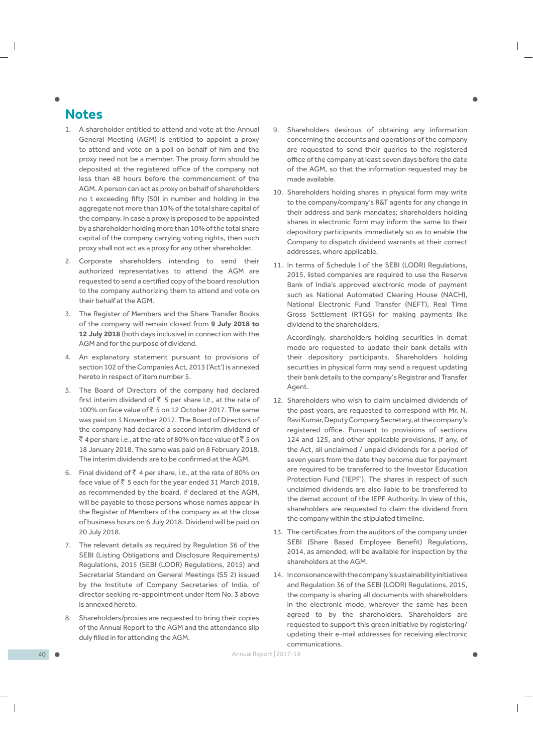# **Notes**

- 1. A shareholder entitled to attend and vote at the Annual General Meeting (AGM) is entitled to appoint a proxy to attend and vote on a poll on behalf of him and the proxy need not be a member. The proxy form should be deposited at the registered office of the company not less than 48 hours before the commencement of the AGM. A person can act as proxy on behalf of shareholders no t exceeding fifty (50) in number and holding in the aggregate not more than 10% of the total share capital of the company. In case a proxy is proposed to be appointed by a shareholder holding more than 10% of the total share capital of the company carrying voting rights, then such proxy shall not act as a proxy for any other shareholder.
- 2. Corporate shareholders intending to send their authorized representatives to attend the AGM are requested to send a certified copy of the board resolution to the company authorizing them to attend and vote on their behalf at the AGM.
- 3. The Register of Members and the Share Transfer Books of the company will remain closed from **9 July 2018 to 12 July 2018** (both days inclusive) in connection with the AGM and for the purpose of dividend.
- 4. An explanatory statement pursuant to provisions of section 102 of the Companies Act, 2013 ('Act') is annexed hereto in respect of item number 5.
- 5. The Board of Directors of the company had declared Ƭ rst interim dividend of ` 5 per share *i.e.,* at the rate of 100% on face value of  $\overline{5}$  5 on 12 October 2017. The same was paid on 3 November 2017. The Board of Directors of the company had declared a second interim dividend of ` 4 per share *i.e.,* at the rate of 80% on face value of ` 5 on 18 January 2018. The same was paid on 8 February 2018. The interim dividends are to be confirmed at the AGM.
- 6. Final dividend of ` 4 per share, *i.e.,* at the rate of 80% on face value of  $\bar{z}$  5 each for the year ended 31 March 2018, as recommended by the board, if declared at the AGM, will be payable to those persons whose names appear in the Register of Members of the company as at the close of business hours on 6 July 2018. Dividend will be paid on 20 July 2018.
- 7. The relevant details as required by Regulation 36 of the SEBI (Listing Obligations and Disclosure Requirements) Regulations, 2015 (SEBI (LODR) Regulations, 2015) and Secretarial Standard on General Meetings (SS 2) issued by the Institute of Company Secretaries of India, of director seeking re-appointment under Item No. 3 above is annexed hereto.
- 8. Shareholders/proxies are requested to bring their copies of the Annual Report to the AGM and the attendance slip duly filled in for attending the AGM.
- Shareholders desirous of obtaining any information concerning the accounts and operations of the company are requested to send their queries to the registered office of the company at least seven days before the date of the AGM, so that the information requested may be made available.
- 10. Shareholders holding shares in physical form may write to the company/company's R&T agents for any change in their address and bank mandates; shareholders holding shares in electronic form may inform the same to their depository participants immediately so as to enable the Company to dispatch dividend warrants at their correct addresses, where applicable.
- 11. In terms of Schedule I of the SEBI (LODR) Regulations, 2015, listed companies are required to use the Reserve Bank of India's approved electronic mode of payment such as National Automated Clearing House (NACH), National Electronic Fund Transfer (NEFT), Real Time Gross Settlement (RTGS) for making payments like dividend to the shareholders.

 Accordingly, shareholders holding securities in demat mode are requested to update their bank details with their depository participants. Shareholders holding securities in physical form may send a request updating their bank details to the company's Registrar and Transfer Agent.

- 12. Shareholders who wish to claim unclaimed dividends of the past years, are requested to correspond with Mr. N. Ravi Kumar, Deputy Company Secretary, at the company's registered office. Pursuant to provisions of sections 124 and 125, and other applicable provisions, if any, of the Act, all unclaimed / unpaid dividends for a period of seven years from the date they become due for payment are required to be transferred to the Investor Education Protection Fund ('IEPF'). The shares in respect of such unclaimed dividends are also liable to be transferred to the demat account of the IEPF Authority. In view of this, shareholders are requested to claim the dividend from the company within the stipulated timeline.
- 13. The certificates from the auditors of the company under SEBI (Share Based Employee Benefit) Regulations, 2014, as amended, will be available for inspection by the shareholders at the AGM.
- 14. In consonance with the company's sustainability initiatives and Regulation 36 of the SEBI (LODR) Regulations, 2015, the company is sharing all documents with shareholders in the electronic mode, wherever the same has been agreed to by the shareholders. Shareholders are requested to support this green initiative by registering/ updating their e-mail addresses for receiving electronic communications.

40 Annual Report | 2017-18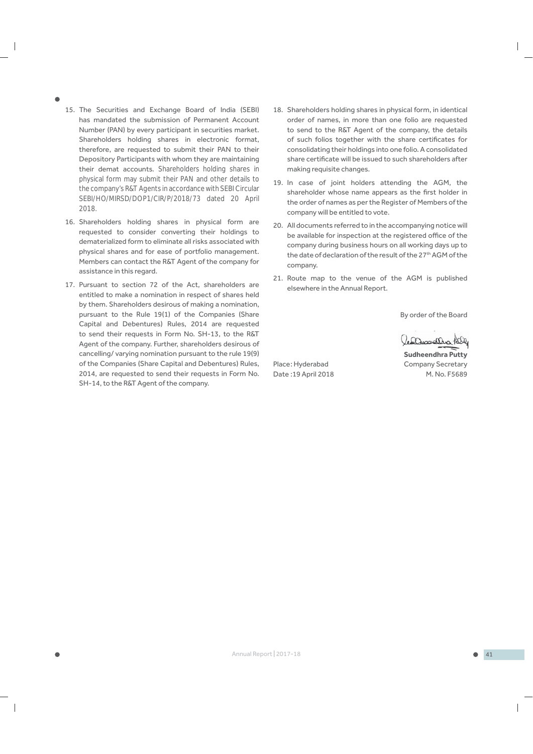- 
- 15. The Securities and Exchange Board of India (SEBI) has mandated the submission of Permanent Account Number (PAN) by every participant in securities market. Shareholders holding shares in electronic format, therefore, are requested to submit their PAN to their Depository Participants with whom they are maintaining their demat accounts. *Shareholders holding shares in physical form may submit their PAN and other details to the company's R&T Agents in accordance with SEBI Circular SEBI/HO/MIRSD/DOP1/CIR/P/2018/73 dated 20 April 2018.*
- 16. Shareholders holding shares in physical form are requested to consider converting their holdings to dematerialized form to eliminate all risks associated with physical shares and for ease of portfolio management. Members can contact the R&T Agent of the company for assistance in this regard.
- 17. Pursuant to section 72 of the Act, shareholders are entitled to make a nomination in respect of shares held by them. Shareholders desirous of making a nomination, pursuant to the Rule 19(1) of the Companies (Share Capital and Debentures) Rules, 2014 are requested to send their requests in Form No. SH-13, to the R&T Agent of the company. Further, shareholders desirous of cancelling/ varying nomination pursuant to the rule 19(9) of the Companies (Share Capital and Debentures) Rules, 2014, are requested to send their requests in Form No. SH-14, to the R&T Agent of the company.
- 18. Shareholders holding shares in physical form, in identical order of names, in more than one folio are requested to send to the R&T Agent of the company, the details of such folios together with the share certificates for consolidating their holdings into one folio. A consolidated share certificate will be issued to such shareholders after making requisite changes.
- 19. In case of joint holders attending the AGM, the shareholder whose name appears as the first holder in the order of names as per the Register of Members of the company will be entitled to vote.
- 20. All documents referred to in the accompanying notice will be available for inspection at the registered office of the company during business hours on all working days up to the date of declaration of the result of the 27<sup>th</sup> AGM of the company.
- 21. Route map to the venue of the AGM is published elsewhere in the Annual Report.

By order of the Board

Cesamotha Pell

 **Sudheendhra Putty** Place: Hyderabad Company Secretary Date : 19 April 2018 M. No. F5689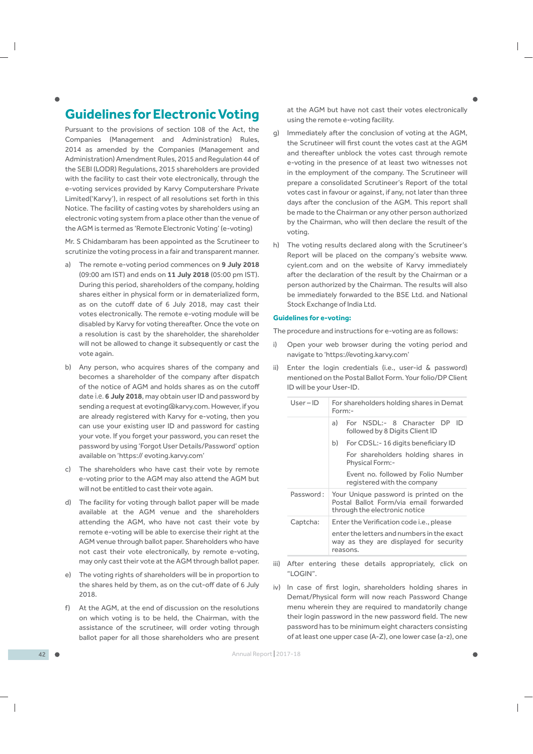# **Guidelines for Electronic Voting**

Pursuant to the provisions of section 108 of the Act, the Companies (Management and Administration) Rules, 2014 as amended by the Companies (Management and Administration) Amendment Rules, 2015 and Regulation 44 of the SEBI (LODR) Regulations, 2015 shareholders are provided with the facility to cast their vote electronically, through the e-voting services provided by Karvy Computershare Private Limited('Karvy'), in respect of all resolutions set forth in this Notice. The facility of casting votes by shareholders using an electronic voting system from a place other than the venue of the AGM is termed as 'Remote Electronic Voting' (e-voting)

Mr. S Chidambaram has been appointed as the Scrutineer to scrutinize the voting process in a fair and transparent manner.

- a) The remote e-voting period commences on **9 July 2018** (09:00 am IST) and ends on **11 July 2018** (05:00 pm IST). During this period, shareholders of the company, holding shares either in physical form or in dematerialized form, as on the cutoff date of 6 July 2018, may cast their votes electronically. The remote e-voting module will be disabled by Karvy for voting thereafter. Once the vote on a resolution is cast by the shareholder, the shareholder will not be allowed to change it subsequently or cast the vote again.
- b) Any person, who acquires shares of the company and becomes a shareholder of the company after dispatch of the notice of AGM and holds shares as on the cutoff date *i.e.* **6 July 2018**, may obtain user ID and password by sending a request at evoting@karvy.com. However, if you are already registered with Karvy for e-voting, then you can use your existing user ID and password for casting your vote. If you forget your password, you can reset the password by using 'Forgot User Details/Password' option available on 'https:// evoting.karvy.com'
- c) The shareholders who have cast their vote by remote e-voting prior to the AGM may also attend the AGM but will not be entitled to cast their vote again.
- d) The facility for voting through ballot paper will be made available at the AGM venue and the shareholders attending the AGM, who have not cast their vote by remote e-voting will be able to exercise their right at the AGM venue through ballot paper. Shareholders who have not cast their vote electronically, by remote e-voting, may only cast their vote at the AGM through ballot paper.
- e) The voting rights of shareholders will be in proportion to the shares held by them, as on the cut-off date of 6 July 2018.
- f) At the AGM, at the end of discussion on the resolutions on which voting is to be held, the Chairman, with the assistance of the scrutineer, will order voting through ballot paper for all those shareholders who are present

at the AGM but have not cast their votes electronically using the remote e-voting facility.

- g) Immediately after the conclusion of voting at the AGM, the Scrutineer will first count the votes cast at the AGM and thereafter unblock the votes cast through remote e-voting in the presence of at least two witnesses not in the employment of the company. The Scrutineer will prepare a consolidated Scrutineer's Report of the total votes cast in favour or against, if any, not later than three days after the conclusion of the AGM. This report shall be made to the Chairman or any other person authorized by the Chairman, who will then declare the result of the voting.
- h) The voting results declared along with the Scrutineer's Report will be placed on the company's website www. cyient.com and on the website of Karvy immediately after the declaration of the result by the Chairman or a person authorized by the Chairman. The results will also be immediately forwarded to the BSE Ltd. and National Stock Exchange of India Ltd.

#### **Guidelines for e-voting:**

The procedure and instructions for e-voting are as follows:

- Open your web browser during the voting period and navigate to 'https://evoting.karvy.com'
- ii) Enter the login credentials (i.e., user-id & password) mentioned on the Postal Ballot Form. Your folio/DP Client ID will be your User-ID.

| $User-ID$ | For shareholders holding shares in Demat<br>Form:-                                                                |
|-----------|-------------------------------------------------------------------------------------------------------------------|
|           | For NSDL:- 8 Character DP<br>ID<br>a)<br>followed by 8 Digits Client ID                                           |
|           | b)<br>For CDSL: - 16 digits beneficiary ID                                                                        |
|           | For shareholders holding shares in<br><b>Physical Form:-</b>                                                      |
|           | Event no. followed by Folio Number<br>registered with the company                                                 |
| Password: | Your Unique password is printed on the<br>Postal Ballot Form/via email forwarded<br>through the electronic notice |
| Captcha:  | Enter the Verification code <i>i.e.</i> , please                                                                  |
|           | enter the letters and numbers in the exact<br>way as they are displayed for security<br>reasons.                  |

- iii) After entering these details appropriately, click on "LOGIN".
- iv) In case of first login, shareholders holding shares in Demat/Physical form will now reach Password Change menu wherein they are required to mandatorily change their login password in the new password field. The new password has to be minimum eight characters consisting of at least one upper case (A-Z), one lower case (a-z), one

42 Annual Report | 2017-18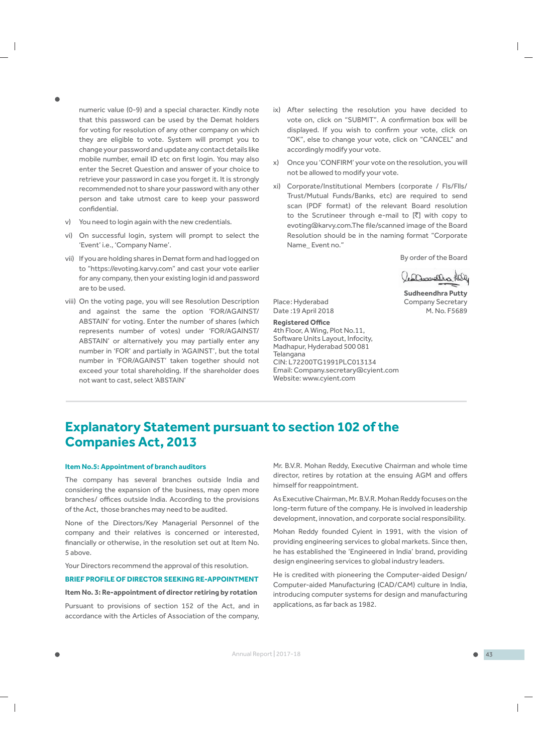numeric value (0-9) and a special character. Kindly note that this password can be used by the Demat holders for voting for resolution of any other company on which they are eligible to vote. System will prompt you to change your password and update any contact details like mobile number, email ID etc on first login. You may also enter the Secret Question and answer of your choice to retrieve your password in case you forget it. It is strongly recommended not to share your password with any other person and take utmost care to keep your password confidential.

- v) You need to login again with the new credentials.
- vi) On successful login, system will prompt to select the 'Event' i.e., 'Company Name'.
- vii) If you are holding shares in Demat form and had logged on to "https://evoting.karvy.com" and cast your vote earlier for any company, then your existing login id and password are to be used.
- viii) On the voting page, you will see Resolution Description and against the same the option 'FOR/AGAINST/ ABSTAIN' for voting. Enter the number of shares (which represents number of votes) under 'FOR/AGAINST/ ABSTAIN' or alternatively you may partially enter any number in 'FOR' and partially in 'AGAINST', but the total number in 'FOR/AGAINST' taken together should not exceed your total shareholding. If the shareholder does not want to cast, select 'ABSTAIN'
- ix) After selecting the resolution you have decided to vote on, click on "SUBMIT". A confirmation box will be displayed. If you wish to confirm your vote, click on "OK", else to change your vote, click on "CANCEL" and accordingly modify your vote.
- x) Once you 'CONFIRM' your vote on the resolution, you will not be allowed to modify your vote.
- xi) Corporate/Institutional Members (corporate / Fls/Flls/ Trust/Mutual Funds/Banks, etc) are required to send scan (PDF format) of the relevant Board resolution to the Scrutineer through e-mail to  $[\bar{z}]$  with copy to evoting@karvy.com.The file/scanned image of the Board Resolution should be in the naming format "Corporate Name\_ Event no."

By order of the Board

Cesamotha Pall **Sudheendhra Putty**

Place: Hyderabad Company Secretary Date : 19 April 2018 M. No. F5689

**Registered OƯ ce** 4th Floor, A Wing, Plot No.11, Software Units Layout, Infocity, Madhapur, Hyderabad 500 081 Telangana CIN: L72200TG1991PLC013134 Email: Company.secretary@cyient.com Website: www.cyient.com

# **Explanatory Statement pursuant to section 102 of the Companies Act, 2013**

#### **Item No.5: Appointment of branch auditors**

The company has several branches outside India and considering the expansion of the business, may open more branches/ offices outside India. According to the provisions of the Act, those branches may need to be audited.

None of the Directors/Key Managerial Personnel of the company and their relatives is concerned or interested, financially or otherwise, in the resolution set out at Item No. 5 above.

#### Your Directors recommend the approval of this resolution.

## **BRIEF PROFILE OF DIRECTOR SEEKING RE-APPOINTMENT**

### **Item No. 3: Re-appointment of director retiring by rotation**

Pursuant to provisions of section 152 of the Act, and in accordance with the Articles of Association of the company,

Mr. B.V.R. Mohan Reddy, Executive Chairman and whole time director, retires by rotation at the ensuing AGM and offers himself for reappointment.

As Executive Chairman, Mr. B.V.R. Mohan Reddy focuses on the long-term future of the company. He is involved in leadership development, innovation, and corporate social responsibility.

Mohan Reddy founded Cyient in 1991, with the vision of providing engineering services to global markets. Since then, he has established the 'Engineered in India' brand, providing design engineering services to global industry leaders.

He is credited with pioneering the Computer-aided Design/ Computer-aided Manufacturing (CAD/CAM) culture in India, introducing computer systems for design and manufacturing applications, as far back as 1982.

 $\overline{\phantom{a}}$